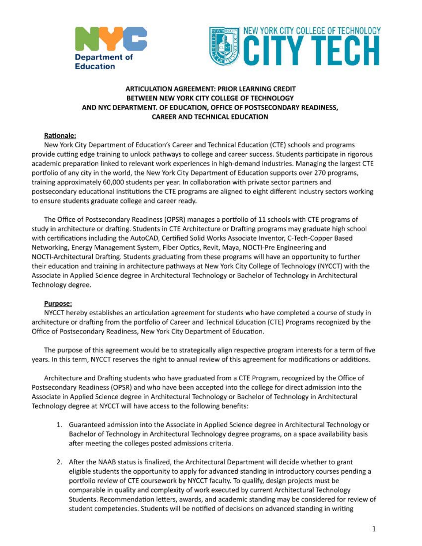



## **ARTICULATION AGREEMENT: PRIOR LEARNING** CREDIT **BETWEEN NEW YORK CITY COLLEGE** OF **TECHNOLOGY ANO NYC DEPARTMENT. OF EDUCATION, OFFICE OF POSTSECONDARY READINESS, CAREER AND TECHNICAL EDUCATION**

#### **Rationale:**

New York City Department of Education's Career and Technical Education (CTE) schools and programs provide cutting edge training to unlock pathways to college and career success. Students participate in rigorous academic preparation linked to relevant work experiences in high-demand industries. Managing the largest CTE portfolio of any city in the world, the New York City Department of Education supports over 270 programs, training approximately 60,000 students per year. In collaboration with private sector partners and postsecondary educational institutions the CTE programs are aligned to eight different industry sectors working to ensure students graduate college and career ready.

The Office of Postsecondary Readiness (OPSR) manages a portfolio of 11 schools with CTE programs of study in architecture or drafting. Students in CTE Architecture or Drafting programs may graduate high school with certifications including the AutoCAD, Certified Solid Works Associate Inventor, C-Tech-Copper Based Networking, Energy Management System, Fiber Optics, Revit, Maya, NOCTI-Pre Engineering and NOCTI-Architectural Drafting. Students graduating from these programs will have an opportunity to further their education and training in architecture pathways at New York City College of Technology (NYCCT) with the Associate in Applied Science degree in Architectural Technology or Bachelor of Technology in Architectural Technology degree.

#### **Purpose:**

NYCCT hereby establishes an articulation agreement for students who have completed a course of study in architecture or drafting from the portfolio of Career and Technical Education (CTE) Programs recognized by the Office of Postsecondary Readiness, New York City Department of Education.

The purpose of this agreement would be to strategically align respective program interests for a term of five years. In this term, NYCCT reserves the right to annual review of this agreement for modifications or additions.

Architecture and Drafting students who have graduated from a CTE Program, recognized by the Office of Postsecondary Readiness (OPSR) and who have been accepted into the college for direct admission into the Associate in Applied Science degree in Architectural Technology or Bachelor of Technology in Architectural Technology degree at NYCCT will have access to the following benefits:

- 1. Guaranteed admission into the Associate in Applied Science degree in Architectural Technology or Bachelor of Technology in Architectural Technology degree programs, on a space availability basis after meeting the colleges posted admissions criteria.
- 2. After the NAAB status is finalized, the Architectural Department will decide whether to grant eligible students the opportunity to apply for advanced standing in introductory courses pending a portfolio review of CTE coursework by NYCCT faculty. To qualify, design projects must be comparable in quality and complexity of work executed by current Architectural Technology Students. Recommendation letters, awards, and academic standing may be considered for review of student competencies. Students will be notified of decisions on advanced standing in writing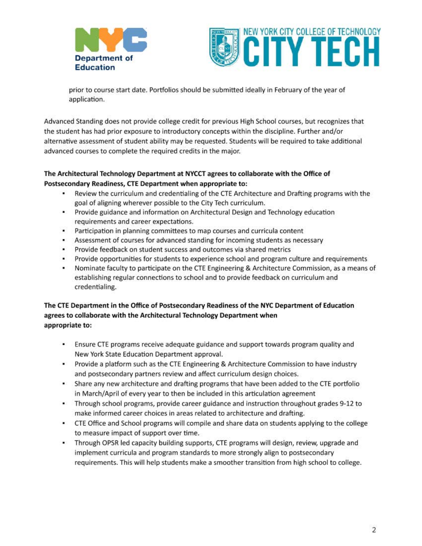



prior to course start date. Portfolios should be submitted ideally in February of the year of application.

Advanced Standing does not provide college credit for previous High School courses, but recognizes that the student has had prior exposure to introductory concepts within the discipline. Further and/or alternative assessment of student ability may be requested. Students will be required to take additional advanced courses to complete the required credits in the major.

## **The Architectural Technology Department at NYCCT agrees to collaborate with the Office of Postsecondary Readiness, CTE Department when appropriate to:**

- Review the curriculum and credentialing of the CTE Architecture and Drafting programs with the goal of aligning wherever possible to the City Tech curriculum.
- Provide guidance and information on Architectural Design and Technology education requirements and career expectations.
- Participation in planning committees to map courses and curricula content a i
- Assessment of courses for advanced standing for incoming students as necessary
- $\blacksquare$ Provide feedback on student success and outcomes via shared metrics
- Provide opportunities for students to experience school and program culture and requirements
- Nominate faculty to participate on the CTE Engineering & Architecture Commission, as a means of establishing regular connections to school and to provide feedback on curriculum and credentialing.

## **The CTE Department in the Office of Postsecondary Readiness of the NYC Department of Education agrees to collaborate with the Architectural Technology Department when appropriate to:**

- Ensure CTE programs receive adequate guidance and support towards program quality and New York State Education Department approval.
- Provide a platform such as the CTE Engineering & Architecture Commission to have industry and postsecondary partners review and affect curriculum design choices.
- Share any new architecture and drafting programs that have been added to the CTE portfolio in March/April of every year to then be included in this articulation agreement
- Through school programs, provide career guidance and instruction throughout grades 9-12 to make informed career choices in areas related to architecture and drafting.
- CTE Office and School programs will compile and share data on students applying to the college to measure impact of support over time.
- Through OPSR led capacity building supports, CTE programs will design, review, upgrade and implement curricula and program standards to more strongly align to postsecondary requirements. This will help students make a smoother transition from high school to college.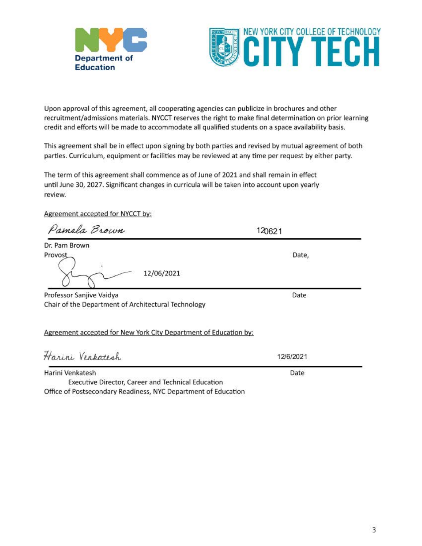



Upon approval of this agreement, all cooperating agencies can publicize in brochures and other recruitment/admissions materials. NYCCT reserves the right to make final determination on prior learning credit and efforts will be made to accommodate all qualified students on a space availability basis.

This agreement shall be in effect upon signing by both parties and revised by mutual agreement of both parties. Curriculum, equipment or facilities may be reviewed at any time per request by either party.

The term of this agreement shall commence as of June of 2021 and shall remain in effect until June 30, 2027. Significant changes in curricula will be taken into account upon yearly review.

Agreement accepted for NYCCT by:

| Pamela Brown                                                           | 120621    |
|------------------------------------------------------------------------|-----------|
| Dr. Pam Brown                                                          |           |
| Provost<br>12/06/2021                                                  | Date,     |
| Professor Sanjive Vaidya                                               | Date      |
| Chair of the Department of Architectural Technology                    |           |
| Agreement accepted for New York City Department of Education by:       |           |
| Harini Venkatesh                                                       | 12/6/2021 |
| Harini Venkatesh<br>Executive Director, Career and Technical Education | Date      |

Office of Postsecondary Readiness, NYC Department of Education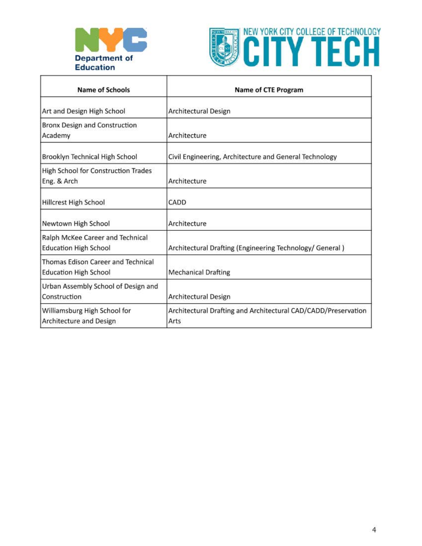



| <b>Name of Schools</b>                                             | <b>Name of CTE Program</b>                                             |
|--------------------------------------------------------------------|------------------------------------------------------------------------|
| Art and Design High School                                         | Architectural Design                                                   |
| Bronx Design and Construction<br>Academy                           | Architecture                                                           |
| Brooklyn Technical High School                                     | Civil Engineering, Architecture and General Technology                 |
| High School for Construction Trades<br>Eng. & Arch                 | Architecture                                                           |
| Hillcrest High School                                              | CADD                                                                   |
| Newtown High School                                                | Architecture                                                           |
| Ralph McKee Career and Technical<br><b>Education High School</b>   | Architectural Drafting (Engineering Technology/ General)               |
| Thomas Edison Career and Technical<br><b>Education High School</b> | <b>Mechanical Drafting</b>                                             |
| Urban Assembly School of Design and<br>Construction                | Architectural Design                                                   |
| Williamsburg High School for<br>Architecture and Design            | Architectural Drafting and Architectural CAD/CADD/Preservation<br>Arts |